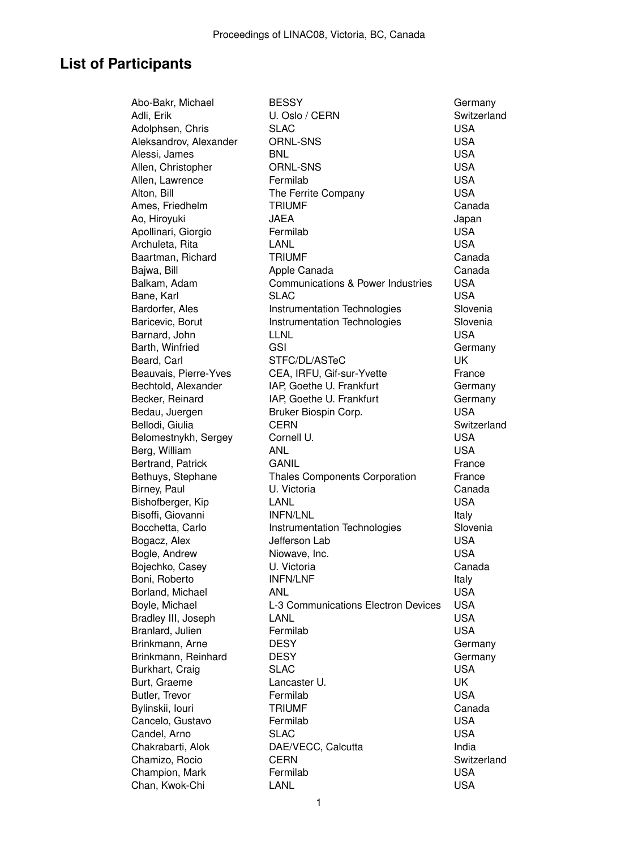## **List of Participants**

Archuleta, Rita Bane, Karl

Abo-Bakr, Michael BESSY BESSY Germany Adli, Erik U. Oslo / CERN Switzerland Adolphsen, Chris SLAC SLAC USA Aleksandrov, Alexander ORNL-SNS USA Alessi, James BNL BNL BNL USA Allen, Christopher **ORNL-SNS** USA Allen, Lawrence **Fermilab** Fermilab COSA Alton, Bill **The Ferrite Company** USA Ames, Friedhelm TRIUMF Canada Ao, Hiroyuki JAEA Japan Apollinari, Giorgio Fermilab USA Baartman, Richard TRIUMF Canada Bajwa, Bill **Apple Canada** Canada Canada<br>Balkam, Adam Communications & Power Industries USA Balkam, Adam **Communications & Power Industries** USA<br>Bane. Karl **Bane** SLAC Bardorfer, Ales **Instrumentation Technologies** Slovenia Baricevic, Borut **Instrumentation Technologies** Slovenia Barnard, John LLNL LINL CHARGE USA Barth, Winfried GSI GGSI Germany Beard, Carl STFC/DL/ASTeC UK Beauvais, Pierre-Yves CEA, IRFU, Gif-sur-Yvette France Bechtold, Alexander **IAP, Goethe U. Frankfurt** Germany Becker, Reinard **IAP, Goethe U. Frankfurt** Germany Bedau, Juergen Bruker Biospin Corp. Communist USA Bellodi, Giulia **CERN** CERN Switzerland Belomestnykh, Sergey Cornell U. Cornell Cornell U. Berg, William **ANL** AND AND USA Bertrand, Patrick GANIL GANIL GANIL France Bethuys, Stephane Thales Components Corporation France Birney, Paul **U. Victoria** Canada Bishofberger, Kip LANL LANL USA Bisoffi, Giovanni **INFN/LNL** INFO INFO ITALIA Bocchetta, Carlo **Instrumentation Technologies** Slovenia Bogacz, Alex **Jefferson Lab USA** Bogle, Andrew Niowave, Inc. The USA Bojechko, Casey **U. Victoria** Canada Boni, Roberto **INFN/LNF** INFO ITALY Borland, Michael ANL USA Boyle, Michael L-3 Communications Electron Devices USA Bradley III, Joseph LANL LAND Branlard, Julien **Fermilab** Fermilab USA Brinkmann, Arne **DESY DESY Germany** Brinkmann, Reinhard DESY Germany Burkhart, Craig SLAC USA Burt, Graeme **Lancaster U.** Contact U. Contact UK Butler, Trevor **Fermilab Example 19** USA Bylinskii, Iouri TRIUMF Canada Cancelo, Gustavo Fermilab USA Candel, Arno SLAC USA Chakrabarti, Alok DAE/VECC, Calcutta India Chamizo, Rocio CERN CERN Switzerland Champion, Mark **Fermilab** Fermilab USA Chan, Kwok-Chi LANL LANL USA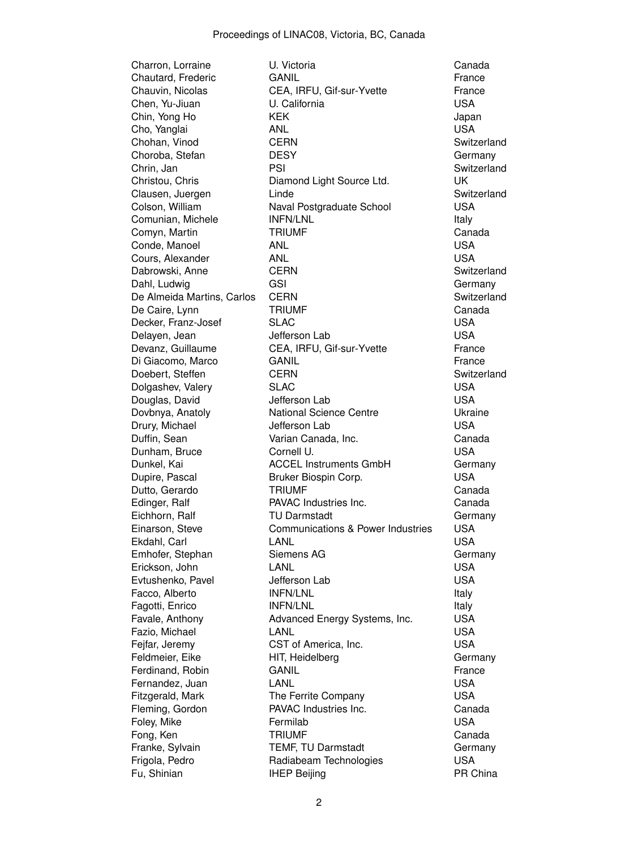Chautard, Frederic Conde, Manoel De Almeida Martins, Carlos CERN<br>De Caire Lynn TRIUME

Charron, Lorraine U. Victoria Canada Chauvin, Nicolas CEA, IRFU, Gif-sur-Yvette France Chen, Yu-Jiuan U. California U. California Chin, Yong Ho **KEK** KEK Japan Cho, Yanglai **ANL** ANL USA Chohan, Vinod CERN CERN Switzerland Choroba, Stefan **DESY** DESY **Germany** Chrin, Jan **PSI** PSI Switzerland Christou, Chris **Diamond Light Source Ltd.** UK Clausen, Juergen and Linde Clausen, Juergen and Linde Switzerland Colson, William **Naval Postgraduate School** USA<br>Comunian, Michele INFN/LNL Comunian, Michele INFN/LNL Italy Comyn, Martin TRIUMF Canada Cours, Alexander ANL USA Dabrowski, Anne CERN CERN Switzerland Switzerland CERN Switzerland Switzerland Switzerland Cermany C Dahl, Ludwig GSI GSI Germany<br>
De Almeida Martins. Carlos CERN CERN Switzerland De Caire, Lynn TRIUMF Canada Decker, Franz-Josef SLAC USA Delayen, Jean **Jefferson Lab** Jefferson Lab USA Devanz, Guillaume CEA, IRFU, Gif-sur-Yvette France Di Giacomo, Marco GANIL GANIL GANING RESERVE France Doebert, Steffen CERN Switzerland Dolgashev, Valery SLAC SLAC USA Douglas, David **Douglas, David** Jefferson Lab **USA** Dovbnya, Anatoly National Science Centre Ukraine Drury, Michael **Internal USA** Jefferson Lab **USA** Duffin, Sean Varian Canada, Inc. Canada Dunham, Bruce Cornell U. Cornell U. USA Dunkel, Kai ACCEL Instruments GmbH Germany Dupire, Pascal Bruker Biospin Corp. Communication USA Dutto, Gerardo **TRIUMF** Canada Edinger, Ralf **PAVAC** Industries Inc. Canada Eichhorn, Ralf TU Darmstadt Germany Einarson, Steve Communications & Power Industries USA Ekdahl, Carl Carl LANL Carl USA Emhofer, Stephan Siemens AG Germany Erickson, John LANL USA Evtushenko, Pavel Jefferson Lab USA Facco, Alberto **INFN/LNL** INFO ITALL Italy Fagotti, Enrico **INFN/LNL** INFO INFO Italy Favale, Anthony **Advanced Energy Systems, Inc.** USA Fazio, Michael LANL USA Fejfar, Jeremy CST of America, Inc. CST of America, Inc. Feldmeier, Eike **HIT, Heidelberg Germany** Germany Ferdinand, Robin GANIL GANIL France Fernandez, Juan LANL LANL USA Fitzgerald, Mark The Ferrite Company USA Fleming, Gordon **PAVAC Industries Inc.** Canada Foley, Mike **Fermilab Fermilab** USA Fong, Ken TRIUMF Canada Franke, Sylvain TEMF, TU Darmstadt Germany Frigola, Pedro **Radiabeam Technologies** USA Fu, Shinian **IHEP Beijing** PR China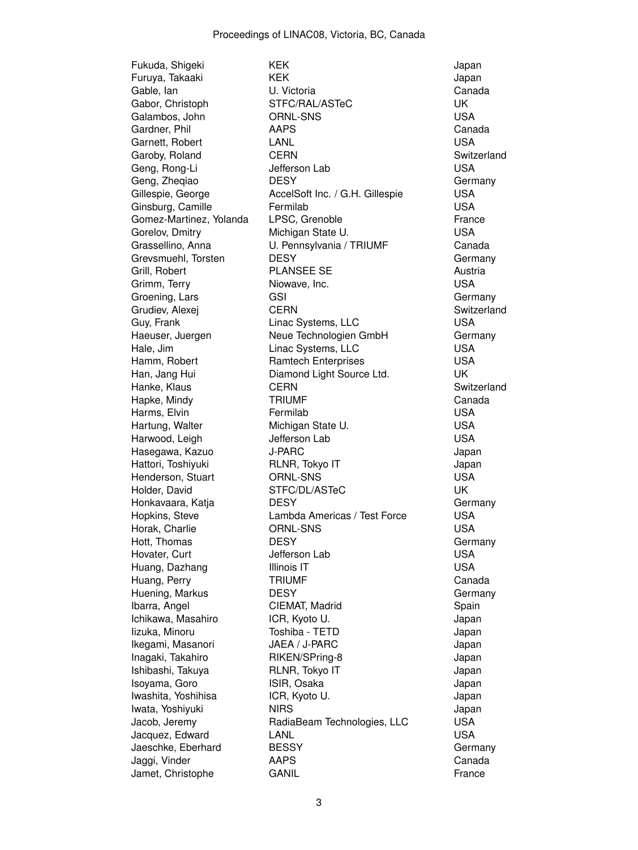Furuya, Takaaki Grudiev, Alexei CERN Hanke, Klaus CERN

Fukuda, Shigeki KEK Japan Gable, Ian U. Victoria Canada Gabor, Christoph STFC/RAL/ASTeC UK Galambos. John **ORNL-SNS CORNL-SNS** USA Gardner, Phil AAPS Canada Garnett, Robert LANL LANL USA Garoby, Roland CERN CERN Switzerland Geng, Rong-Li Jefferson Lab USA Geng, Zheqiao DESY Germany Gillespie, George **AccelSoft Inc. / G.H. Gillespie** USA Ginsburg, Camille **Fermilab Fermilab** USA Gomez-Martinez, Yolanda LPSC, Grenoble France Gorelov, Dmitry **Michigan State U.**<br>Grassellino, Anna **M. D. Dennsylvania / TRIUMF** Canada U. Pennsylvania / TRIUMF Grevsmuehl, Torsten DESY DESY Germany<br>Grill, Robert PLANSEE SE Call Bustria Grill, Robert **PLANSEE SE** Australian Control and Team Australian Australian Australian Australian Australian Austr<br>Grimm, Terry **Control and Australian Australian Australian Australian Australian Australian Australian Aus** Niowave, Inc. Groening, Lars GSI GSI GERN Germany<br>Grudiev. Alexei GERN Grudiev. Alexei Germany Guy, Frank **Linac Systems, LLC** USA Haeuser, Juergen Neue Technologien GmbH Germany Hale, Jim Linac Systems, LLC USA Hamm, Robert **Ramtech Enterprises** USA Han, Jang Hui **Nati Diamond Light Source Ltd.** UK UK<br>Hanke. Klaus CERN CERN CERN Hapke, Mindy **TRIUMF** Canada Harms, Elvin **Fermilab Fermilab** USA Hartung, Walter **Michigan State U.** USA Harwood, Leigh Jefferson Lab USA Hasegawa, Kazuo J-PARC Japan Hattori, Toshiyuki RLNR, Tokyo IT Japan Henderson, Stuart **ORNL-SNS** USA Holder, David STFC/DL/ASTeC UK Honkavaara, Katja **DESY** DESY Germany Hopkins, Steve Lambda Americas / Test Force USA Horak, Charlie **ORNL-SNS** USA Hott, Thomas **DESY** DESY Germany Hovater, Curt **Currell Currell Currell** Jefferson Lab **USA** Huang, Dazhang **Illinois IT Illinois IT** USA Huang, Perry TRIUMF Canada Huening, Markus **DESY Germany Communist Communist Communist Communist Communist Communist Communist Communist Communist Communist Communist Communist Communist Communist Communist Communist Communist Communist Communis** Ibarra, Angel CIEMAT, Madrid COUNTER Spain Ichikawa, Masahiro **ICR, Kyoto U. ICR, Internal and Alexander CR**, Kyoto U. Iizuka, Minoru Toshiba - TETD Japan Ikegami, Masanori JAEA / J-PARC Japan Inagaki, Takahiro RIKEN/SPring-8 Japan Ishibashi, Takuya **RLNR, Tokyo IT** Japan Isoyama, Goro **ISIR, Osaka** ISIR, Osaka Japan Iwashita, Yoshihisa **ICR, Kyoto U.** ICR, Indiana Indiana Indiana Indiana Indiana Indiana Indiana Indiana Indian Iwata, Yoshiyuki NIRS Japan Jacob, Jeremy RadiaBeam Technologies, LLC USA Jacquez, Edward LANL LAND LAND USA Jaeschke, Eberhard BESSY Germany Jaggi, Vinder AAPS Canada Jamet, Christophe GANIL GANIL France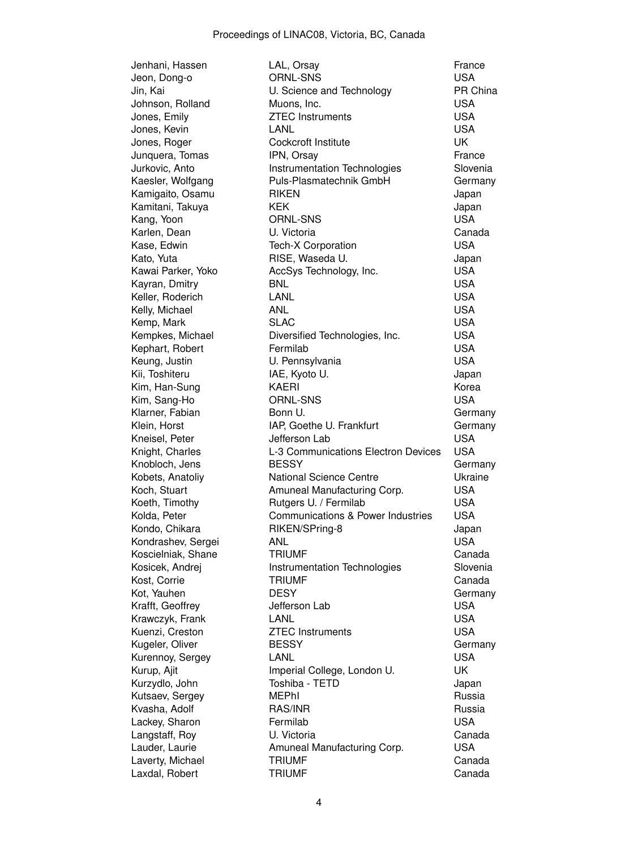Jeon, Dong-o Kang, Yoon ORNL-SNS Kayran, Dmitry BNL

Jenhani, Hassen LAL, Orsay France Jin, Kai U. Science and Technology PR China Johnson, Rolland Muons, Inc. Nuons, Inc. Nuons, Inc. Nuons, Inc. Nuons, Inc. Nuons, Inc. Nuova and Nuons, Inc. Jones, Emily ZTEC Instruments USA Jones, Kevin LANL USA Jones, Roger Cockcroft Institute UK Junquera, Tomas IPN, Orsay **IPN, Internal Contract Contract Contract Contract Contract Contract Contract Contract Contract Contract Contract Contract Contract Contract Contract Contract Contract Contract Contract Contract** Jurkovic, Anto **Instrumentation Technologies** Slovenia Kaesler, Wolfgang **Puls-Plasmatechnik GmbH** Germany Kamigaito, Osamu RIKEN RIKEN Japan Kamitani, Takuya KEK Japan Karlen, Dean U. Victoria Canada Tech-X Corporation Kato, Yuta RISE, Waseda U. Japan Kawai Parker, Yoko AccSys Technology, Inc. USA Keller, Roderich LANL LANL USA Kelly, Michael **ANL** ANL USA Kemp, Mark SLAC SEAC USA Kempkes, Michael Diversified Technologies, Inc. USA Kephart, Robert Fermilab USA Keung, Justin **U. Pennsylvania** U. Pennsylvania Kii, Toshiteru IAE, Kyoto U. Japan Kim, Han-Sung KAERI KAERI Korea Kim, Sang-Ho ORNL-SNS USA Klarner, Fabian **Bonn U.** Bonn U. Germany Klein, Horst **IAP, Goethe U. Frankfurt** Germany Kneisel, Peter **International USA** Jefferson Lab **International USA** Knight, Charles **L-3 Communications Electron Devices** USA Knobloch, Jens Germany BESSY Germany Kobets, Anatoliy **National Science Centre** Ukraine Koch, Stuart **Amuneal Manufacturing Corp.** USA Koeth, Timothy **Rutgers U.** / Fermilab USA Kolda, Peter **Communications & Power Industries** USA Kondo, Chikara **RIKEN/SPring-8** Japan Kondrashev, Sergei ANL ANL USA Koscielniak, Shane TRIUMF Canada Kosicek, Andrej **Instrumentation Technologies** Slovenia Kost, Corrie TRIUMF Canada Kot, Yauhen **DESY** DESY Germany Krafft, Geoffrey **State USA** Jefferson Lab **USA** Krawczyk, Frank LANL LANL CHARAGE USA Kuenzi, Creston ZTEC Instruments USA Kugeler, Oliver **BESSY** BESSY Germany Kurennoy, Sergey LANL LAND Kurup, Ajit **Imperial College, London U.** UK Kurzydlo, John Toshiba - TETD Japan Kutsaev, Sergey **MEPhI** MEPhI Russia Kvasha, Adolf RAS/INR Russia Lackey, Sharon Fermilab Contract Contract Contract Contract Contract Contract Contract Contract Contract Contract Contract Contract Contract Contract Contract Contract Contract Contract Contract Contract Contract Contract Langstaff, Roy **U. Victoria** Canada Lauder, Laurie **Amuneal Manufacturing Corp.** USA Laverty, Michael **TRIUMF** Canada Laxdal, Robert **TRIUMF** Canada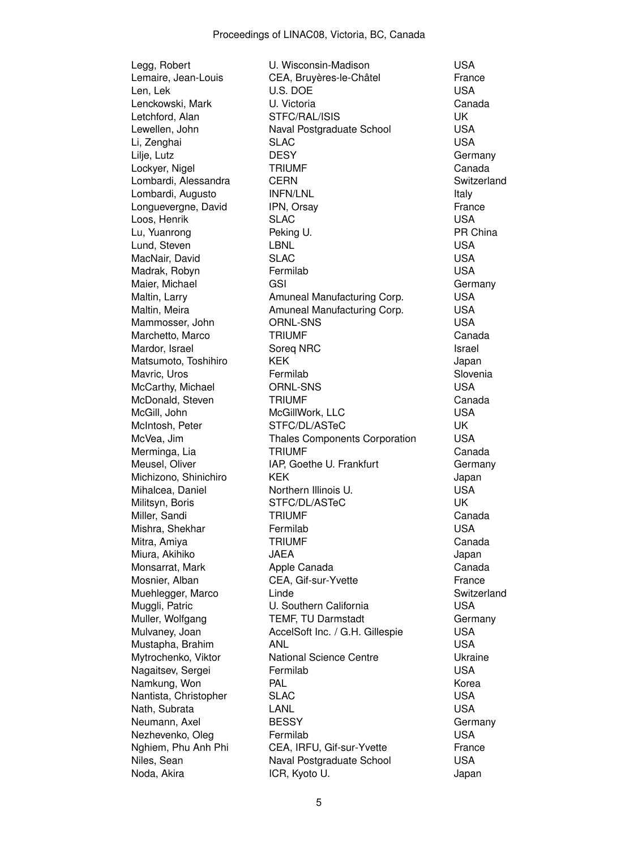Loos, Henrik SLAC Maier, Michael Militsyn, Boris STFC/DL/ASTeC

Legg, Robert **Carl Communist U. Wisconsin-Madison** USA<br>
Lemaire, Jean-Louis CEA, Bruyères-le-Châtel Charace CEA, Bruyères-le-Châtel Len, Lek U.S. DOE USA Lenckowski, Mark U. Victoria Canada Letchford, Alan STFC/RAL/ISIS UK Lewellen, John Naval Postgraduate School USA Li, Zenghai SLAC USA Lilje, Lutz DESY Germany Lockyer, Nigel TRIUMF Canada Lombardi, Alessandra CERN Switzerland Lombardi, Augusto INFN/LNL Italy Longuevergne, David IPN, Orsay IPN, IPN, IPN Entrance<br>
Loos. Henrik SLAC SLAC Lu, Yuanrong Peking U. PR China Lund, Steven LBNL LBNL USA MacNair, David SLAC USA Madrak, Robyn Fermilab USA Maltin, Larry **Amuneal Manufacturing Corp.** USA<br>Maltin, Meira **Manufacturing Corp.** USA Amuneal Manufacturing Corp. Mammosser, John ORNL-SNS VSA Marchetto, Marco TRIUMF Canada Mardor, Israel **Soreg NRC** Israel Israel **Israel** Matsumoto, Toshihiro KEK KEK Japan Mavric, Uros **Fermilab** Slovenia McCarthy, Michael **ORNL-SNS** USA McDonald, Steven TRIUMF **TRIUMF** Canada McGill, John McGillWork, LLC USA McIntosh, Peter STFC/DL/ASTeC UK McVea, Jim Thales Components Corporation USA Merminga, Lia **TRIUMF** Canada Meusel, Oliver IAP, Goethe U. Frankfurt Germany Michizono, Shinichiro KEK KEK Japan Mihalcea, Daniel Northern Illinois U. USA Miller, Sandi TRIUMF Canada Mishra, Shekhar **Fermilab** Fermilab **USA** Mitra, Amiya TRIUMF Canada Miura, Akihiko  $JAEA$ Monsarrat, Mark **Apple Canada** Canada Canada Mosnier, Alban CEA, Gif-sur-Yvette France Muehlegger, Marco Linde Linde Switzerland Muggli, Patric **U.** Southern California **USA** Muller, Wolfgang TEMF, TU Darmstadt Germany Mulvaney, Joan AccelSoft Inc. / G.H. Gillespie USA Mustapha, Brahim ANL USA Mytrochenko, Viktor National Science Centre Ukraine Nagaitsev, Sergei Fermilab Contract Contract USA Namkung, Won **PAL** PAL **Namkung**, Won Nantista, Christopher SLAC USA Nath, Subrata CANL LANL CONSERVERSITY USA Neumann, Axel BESSY BESSY Germany Nezhevenko, Oleg Fermilab **Internet Expanditure Expanditure Internet COSA** Nghiem, Phu Anh Phi CEA, IRFU, Gif-sur-Yvette France Niles, Sean Naval Postgraduate School USA Noda, Akira **ICR, Kyoto U.** ICR, Kyoto U. Japan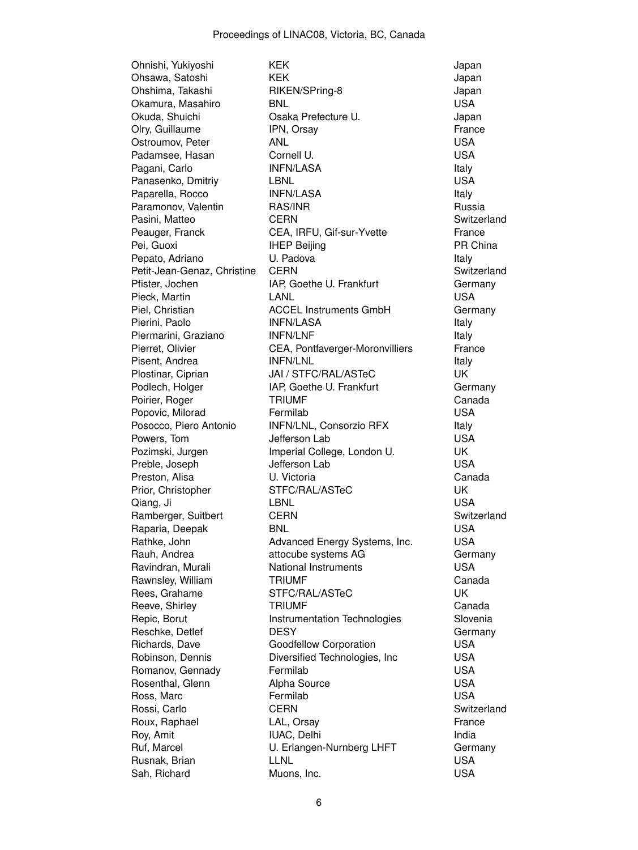Okamura, Masahiro BNL Pagani, Carlo **INFN/LASA** Pasini, Matteo **CERN** Pei, Guoxi **IHEP Beijing** Qiang, Ji LBNL Rossi, Carlo CERN

Ohnishi, Yukiyoshi KEK Japan Ohsawa, Satoshi KEK KEK Japan Ohshima, Takashi RIKEN/SPring-8 Japan Okuda, Shuichi Osaka Prefecture U. Japan Olry, Guillaume **IPN, Orsay Collection Contract Contract** France Ostroumov, Peter ANL AND USA Padamsee, Hasan Cornell U. Cornell U. Cornell U. Cornell U. Cornell U. Cornell U. Cornell U. Cornell U. Cornell U<br>Pagani. Carlo Carlo U. INFN/LASA Carlo Carlo Carlo Carlo Carlo Carlo Carlo Carlo Carlo Carlo Carlo Carlo Car Panasenko, Dmitriv LBNL LBNL News CONSERVING USA Paparella, Rocco INFN/LASA Interventional Italy Paramonov, Valentin RAS/INR Russia Russia<br>Pasini. Matteo CERN CERN Russia Revitzerland Peauger, Franck **CEA, IRFU, Gif-sur-Yvette** France France<br>
Pei, Guoxi **France** HEP Beijing France France France Pepato, Adriano U. Padova Italy Petit-Jean-Genaz, Christine CERN<br>Pfister, Jochen Barness (IAP, Goethe U. Frankfurt Cermany IAP, Goethe U. Frankfurt Pieck, Martin **Example 18 LANL** USA<br>Piel. Christian **NGCEL Instruments GmbH** Gern ACCEL Instruments GmbH Germany Pierini, Paolo **INFN/LASA** INFO INFO Italy Piermarini, Graziano INFN/LNF **International Italy** Pierret, Olivier **CEA, Pontfaverger-Moronvilliers** France Pisent, Andrea **INFN/LNL** INFO INTENTION Plostinar, Ciprian JAI / STFC/RAL/ASTeC UK Podlech, Holger **IAP, Goethe U. Frankfurt** Germany Poirier, Roger TRIUMF Canada Popovic, Milorad **Fermilab** Fermilab **USA** Posocco, Piero Antonio INFN/LNL, Consorzio RFX Italy Powers, Tom **Defferson Lab** USA Pozimski, Jurgen Imperial College, London U. UK Preble, Joseph Jefferson Lab USA Preston, Alisa **U. Victoria** U. Victoria Canada Prior, Christopher STFC/RAL/ASTeC UK Ramberger, Suitbert CERN CERN Switzerland Raparia, Deepak BNL BNL BROOKS BROWN BAR BARAGE Rathke, John **Advanced Energy Systems, Inc.** USA Rauh, Andrea **attocube systems AG** Germany Ravindran, Murali **National Instruments** CUSA Rawnsley, William TRIUMF Canada Rees, Grahame STFC/RAL/ASTeC UK Reeve, Shirley **TRIUMF** Canada Repic, Borut **Instrumentation Technologies** Slovenia Reschke, Detlef Germany CODESY Communications of the DESY Germany Richards, Dave Goodfellow Corporation USA Robinson, Dennis Diversified Technologies, Inc USA Romanov, Gennady **Fermilab Example 19** USA Rosenthal, Glenn **Alpha Source Contact Alpha Source CONS** Ross, Marc Fermilab USA Roux, Raphael **LAL, Orsay Example 20** Example 20 Example 20 Example 20 Example 20 Example 20 Example 20 Example 20 Example 20 Example 20 Example 20 Example 20 Example 20 Example 20 Example 20 Example 20 Example 20 Exampl Roy, Amit **IUAC**, Delhi **IUAC** India Ruf, Marcel **Example 20** U. Erlangen-Nurnberg LHFT Germany Rusnak, Brian CLINL LLNL CONTROLLER USA Sah, Richard Muons, Inc. Nuons, Inc. Nuons, Inc. Nuovember 2006.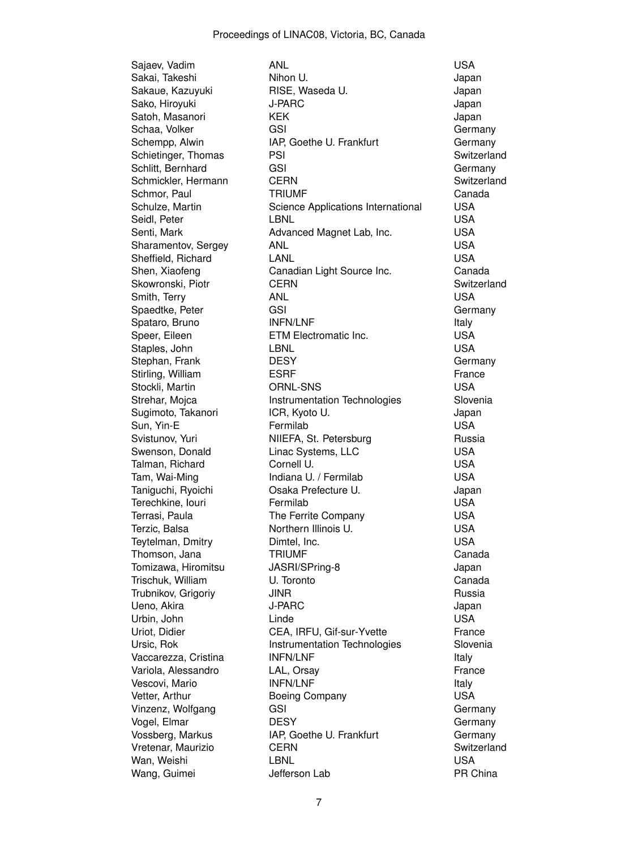Sako, Hiroyuki Skowronski, Piotr CERN

Sajaev, Vadim ANL USA Sakai, Takeshi Nihon U. Gakai, Takeshi Nihon U. Sakaue, Kazuyuki RISE, Waseda U. Japan Satoh, Masanori KEK KEK Japan Schaa, Volker GSI GSI Germany Schempp, Alwin **IAP, Goethe U. Frankfurt** Germany Schietinger, Thomas PSI PSI Switzerland Schlitt, Bernhard GSI GGSI Germany Schmickler, Hermann CERN CERN Schmickler, Hermann CERN Switzerland Schmor, Paul **TRIUMF** Canada Schulze, Martin Science Applications International USA Seidl, Peter **LBNL** LBNL USA Senti, Mark **Advanced Magnet Lab, Inc.** USA<br>Sharamentov, Sergey ANL Sharamentov, Sergey ANL AND AND AND USA Sheffield, Richard LANL USA Canadian Light Source Inc. Canada<br>CERN Switzerland Smith, Terry **ANL** AND **USA** Spaedtke, Peter GSI GSI Germany Spataro, Bruno **INFN/LNF** INFO INFO Italy Speer, Eileen **ETM Electromatic Inc.** USA Staples, John LBNL USA Stephan, Frank DESY DESY Germany Stirling, William **ESRF** France Stockli, Martin **ORNL-SNS** USA Strehar, Mojca **Instrumentation Technologies** Slovenia Sugimoto, Takanori **ICR, Kyoto U.** ICR, 2008 P. Alexandr B. Alexandr B. Alexandr B. Alexandr B. Alexandr B. Alex Sun, Yin-E **Fermilab CONFERGIST USA** Svistunov, Yuri **NIIEFA, St. Petersburg** Russia Swenson, Donald Linac Systems, LLC USA Talman, Richard Cornell U. Cornell U. Tam, Wai-Ming **Indiana U.** / Fermilab USA Taniguchi, Ryoichi Osaka Prefecture U. Japan Terechkine, Iouri Fermilab Contract Contract Contract Contract Contract Contract Contract Contract Contract Co Terrasi, Paula **The Ferrite Company** COSA Terzic, Balsa **Northern Illinois U.** USA Teytelman, Dmitry **Dimtel, Inc.** Communist Communist Communist Communist Communist Communist Communist Communist Communist Communist Communist Communist Communist Communist Communist Communist Communist Communist Communist Thomson, Jana **TRIUMF** Canada Tomizawa, Hiromitsu JASRI/SPring-8 Japan Trischuk, William U. Toronto Canada Trubnikov, Grigoriy **JUNING And Trubnikov, Grigoriy** Aussia Ueno, Akira **J-PARC** J-PARC Japan Urbin, John Linde Communication USA Uriot, Didier CEA, IRFU, Gif-sur-Yvette France Ursic, Rok **Instrumentation Technologies** Slovenia Vaccarezza, Cristina INFN/LNF INFONITY Italy Variola, Alessandro LAL, Orsay Charles Change France Vescovi, Mario **INFN/LNF** INFO INFO Italy Vetter, Arthur **Boeing Company COMPANY** USA Vinzenz, Wolfgang GSI Germany Vogel, Elmar **DESY** DESY Germany Vossberg, Markus IAP, Goethe U. Frankfurt Germany Vretenar, Maurizio CERN Switzerland Wan, Weishi **LBNL** LBNL USA Wang, Guimei **Chang, Guimei** Jefferson Lab **PR China**